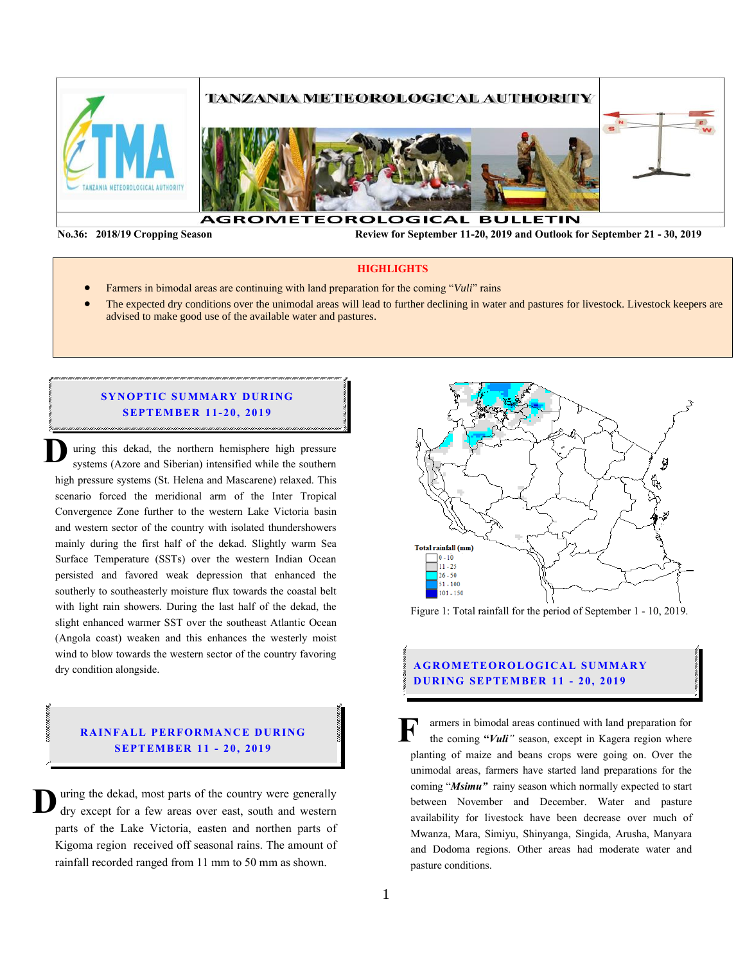

**No.36: 2018/19 Cropping Season Review for September 11-20, 2019 and Outlook for September 21 - 30, 2019** 

#### **HIGHLIGHTS**

- Farmers in bimodal areas are continuing with land preparation for the coming "*Vuli*" rains
- The expected dry conditions over the unimodal areas will lead to further declining in water and pastures for livestock. Livestock keepers are advised to make good use of the available water and pastures.

### **SYNOPTIC SUMMARY DURING SEPTEMBER 11-20, 2019**

uring this dekad, the northern hemisphere high pressure systems (Azore and Siberian) intensified while the southern high pressure systems (St. Helena and Mascarene) relaxed. This scenario forced the meridional arm of the Inter Tropical Convergence Zone further to the western Lake Victoria basin and western sector of the country with isolated thundershowers mainly during the first half of the dekad. Slightly warm Sea Surface Temperature (SSTs) over the western Indian Ocean persisted and favored weak depression that enhanced the southerly to southeasterly moisture flux towards the coastal belt with light rain showers. During the last half of the dekad, the slight enhanced warmer SST over the southeast Atlantic Ocean (Angola coast) weaken and this enhances the westerly moist wind to blow towards the western sector of the country favoring dry condition alongside. **D**

### **RAINFALL PERFORMANCE DURING SEPT EMBER 11 - 20, 201 9**

uring the dekad, most parts of the country were generally dry except for a few areas over east, south and western parts of the Lake Victoria, easten and northen parts of Kigoma region received off seasonal rains. The amount of rainfall recorded ranged from 11 mm to 50 mm as shown. **D**



Figure 1: Total rainfall for the period of September 1 - 10, 2019.

### **AGROMETEOROLOGICAL SUMMARY D UR ING SEPTEMBER 11 - 20, 2019**

armers in bimodal areas continued with land preparation for the coming **"***Vuli"* season, except in Kagera region where planting of maize and beans crops were going on. Over the unimodal areas, farmers have started land preparations for the coming "*Msimu"* rainy season which normally expected to start between November and December. Water and pasture availability for livestock have been decrease over much of Mwanza, Mara, Simiyu, Shinyanga, Singida, Arusha, Manyara and Dodoma regions. Other areas had moderate water and pasture conditions. **F**